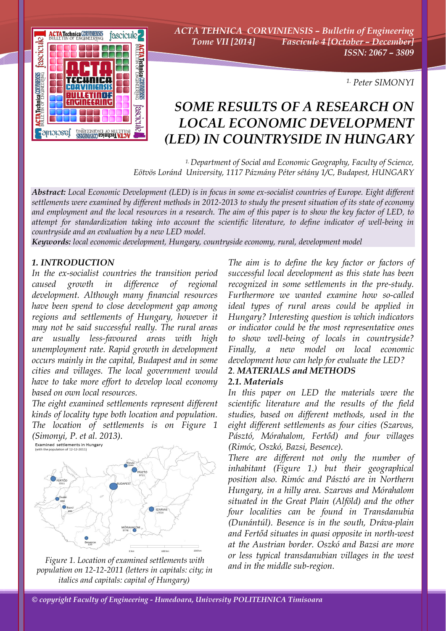

*ACTA TEHNICA CORVINIENSIS – Bulletin of Engineering Tome VII [2014] Fascicule 4 [October – December] ISSN: 2067 – 3809* 

*1. Peter SIMONYI* 

# *SOME RESULTS OF A RESEARCH ON LOCAL ECONOMIC DEVELOPMENT (LED) IN COUNTRYSIDE IN HUNGARY*

*1. Department of Social and Economic Geography, Faculty of Science, Eötvös Loránd University, 1117 Pázmány Péter sétány 1/C, Budapest, HUNGARY*

*Abstract: Local Economic Development (LED) is in focus in some ex-socialist countries of Europe. Eight different settlements were examined by different methods in 2012-2013 to study the present situation of its state of economy and employment and the local resources in a research. The aim of this paper is to show the key factor of LED, to attempt for standardization taking into account the scientific literature, to define indicator of well-being in countryside and an evaluation by a new LED model.* 

*Keywords: local economic development, Hungary, countryside economy, rural, development model*

#### *1. INTRODUCTION*

*In the ex-socialist countries the transition period caused growth in difference of regional development. Although many financial resources have been spend to close development gap among regions and settlements of Hungary, however it may not be said successful really. The rural areas are usually less-favoured areas with high unemployment rate. Rapid growth in development occurs mainly in the capital, Budapest and in some cities and villages. The local government would have to take more effort to develop local economy based on own local resources.* 

*The eight examined settlements represent different kinds of locality type both location and population. The location of settlements is on Figure 1*   $(Simonyi, P. et al. 2013).$ <br>Examined settlements in Hungary<br>*(With the population of 12-12-2011)* 



*Figure 1. Location of examined settlements with population on 12-12-2011 (letters in capitals: city; in italics and capitals: capital of Hungary)* 

*The aim is to define the key factor or factors of successful local development as this state has been recognized in some settlements in the pre-study. Furthermore we wanted examine how so-called ideal types of rural areas could be applied in Hungary? Interesting question is which indicators or indicator could be the most representative ones to show well-being of locals in countryside? Finally, a new model on local economic development how can help for evaluate the LED?* 

#### *2. MATERIALS and METHODS 2.1. Materials*

*In this paper on LED the materials were the scientific literature and the results of the field studies, based on different methods, used in the eight different settlements as four cities (Szarvas, Pásztó, Mórahalom, Fertőd) and four villages (Rimóc, Oszkó, Bazsi, Besence).* 

*There are different not only the number of inhabitant (Figure 1.) but their geographical position also. Rimóc and Pásztó are in Northern Hungary, in a hilly area. Szarvas and Mórahalom situated in the Great Plain (Alföld) and the other four localities can be found in Transdanubia (Dunántúl). Besence is in the south, Dráva-plain and Fertőd situates in quasi opposite in north-west at the Austrian border. Oszkó and Bazsi are more or less typical transdanubian villages in the west and in the middle sub-region.*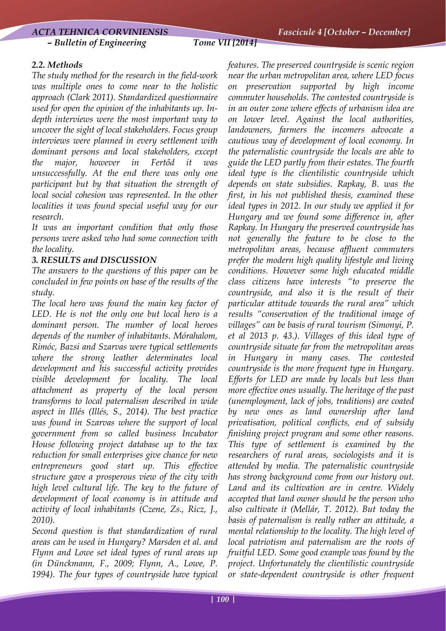#### *– Bulletin of Engineering Tome VII [2014]*

# *2.2. Methods*

*The study method for the research in the field-work was multiple ones to come near to the holistic approach (Clark 2011). Standardized questionnaire used for open the opinion of the inhabitants up. Indepth interviews were the most important way to uncover the sight of local stakeholders. Focus group interviews were planned in every settlement with dominant persons and local stakeholders, except the major, however in Fertőd it was unsuccessfully. At the end there was only one participant but by that situation the strength of local social cohesion was represented. In the other localities it was found special useful way for our research.* 

*It was an important condition that only those persons were asked who had some connection with the locality.* 

## *3. RESULTS and DISCUSSION*

*The answers to the questions of this paper can be concluded in few points on base of the results of the study.* 

*The local hero was found the main key factor of LED. He is not the only one but local hero is a dominant person. The number of local heroes depends of the number of inhabitants. Mórahalom, Rimóc, Bazsi and Szarvas were typical settlements where the strong leather determinates local development and his successful activity provides visible development for locality. The local attachment as property of the local person transforms to local paternalism described in wide aspect in Illés (Illés, S., 2014). The best practice was found in Szarvas where the support of local government from so called business Incubator House following project database up to the tax reduction for small enterprises give chance for new entrepreneurs good start up. This effective structure gave a prosperous view of the city with high level cultural life. The key to the future of development of local economy is in attitude and activity of local inhabitants (Czene, Zs., Ricz, J., 2010).* 

*Second question is that standardization of rural areas can be used in Hungary? Marsden et al. and Flynn and Lowe set ideal types of rural areas up (in Dünckmann, F., 2009; Flynn, A., Lowe, P. 1994). The four types of countryside have typical*  *features. The preserved countryside is scenic region near the urban metropolitan area, where LED focus on preservation supported by high income commuter households. The contested countryside is in an outer zone where effects of urbanism idea are on lower level. Against the local authorities, landowners, farmers the incomers advocate a cautious way of development of local economy. In the paternalistic countryside the locals are able to guide the LED partly from their estates. The fourth ideal type is the clientilistic countryside which depends on state subsidies. Rapkay, B. was the first, in his not published thesis, examined these ideal types in 2012. In our study we applied it for Hungary and we found some difference in, after Rapkay. In Hungary the preserved countryside has not generally the feature to be close to the metropolitan areas, because affluent commuters prefer the modern high quality lifestyle and living conditions. However some high educated middle class citizens have interests "to preserve the countryside, and also it is the result of their particular attitude towards the rural area" which results "conservation of the traditional image of villages" can be basis of rural tourism (Simonyi, P. et al 2013 p. 43.). Villages of this ideal type of countryside situate far from the metropolitan areas in Hungary in many cases. The contested countryside is the more frequent type in Hungary. Efforts for LED are made by locals but less than more effective ones usually. The heritage of the past (unemployment, lack of jobs, traditions) are coated by new ones as land ownership after land privatisation, political conflicts, end of subsidy finishing project program and some other reasons. This type of settlement is examined by the researchers of rural areas, sociologists and it is attended by media. The paternalistic countryside has strong background come from our history out. Land and its cultivation are in centre. Widely accepted that land owner should be the person who also cultivate it (Mellár, T. 2012). But today the basis of paternalism is really rather an attitude, a mental relationship to the locality. The high level of local patriotism and paternalism are the roots of fruitful LED. Some good example was found by the project. Unfortunately the clientilistic countryside or state-dependent countryside is other frequent*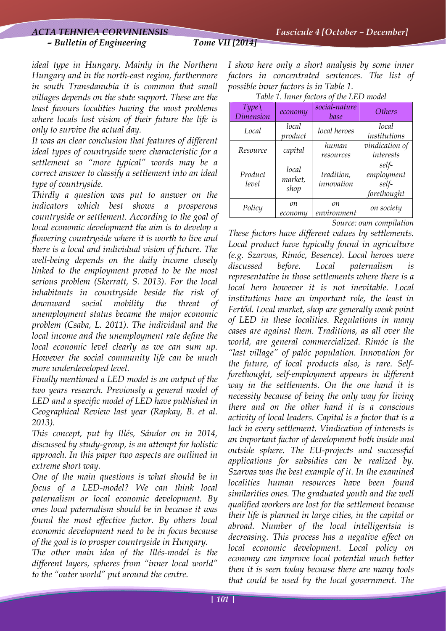### *– Bulletin of Engineering Tome VII [2014]*

*ideal type in Hungary. Mainly in the Northern Hungary and in the north-east region, furthermore in south Transdanubia it is common that small villages depends on the state support. These are the least favours localities having the most problems where locals lost vision of their future the life is only to survive the actual day.* 

*It was an clear conclusion that features of different ideal types of countryside were characteristic for a settlement so "more typical" words may be a correct answer to classify a settlement into an ideal type of countryside.* 

*Thirdly a question was put to answer on the indicators which best shows a prosperous countryside or settlement. According to the goal of local economic development the aim is to develop a flowering countryside where it is worth to live and there is a local and individual vision of future. The well-being depends on the daily income closely linked to the employment proved to be the most serious problem (Skerratt, S. 2013). For the local inhabitants in countryside beside the risk of downward social mobility the threat of unemployment status became the major economic problem (Csaba, L. 2011). The individual and the local income and the unemployment rate define the local economic level clearly as we can sum up. However the social community life can be much more underdeveloped level.* 

*Finally mentioned a LED model is an output of the two years research. Previously a general model of LED and a specific model of LED have published in Geographical Review last year (Rapkay, B. et al. 2013).* 

*This concept, put by Illés, Sándor on in 2014, discussed by study-group, is an attempt for holistic approach. In this paper two aspects are outlined in extreme short way.* 

*One of the main questions is what should be in focus of a LED-model? We can think local paternalism or local economic development. By ones local paternalism should be in because it was found the most effective factor. By others local economic development need to be in focus because of the goal is to prosper countryside in Hungary.* 

*The other main idea of the Illés-model is the different layers, spheres from "inner local world" to the "outer world" put around the centre.* 

*I show here only a short analysis by some inner factors in concentrated sentences. The list of possible inner factors is in Table 1.* 

*Table 1. Inner factors of the LED model* 

| Type()<br><b>Dimension</b> | есопоту                  | social-nature<br>base    | <i>Others</i>                               |
|----------------------------|--------------------------|--------------------------|---------------------------------------------|
| Local                      | local<br>product         | local heroes             | local<br>institutions                       |
| Resource                   | capital                  | human<br>resources       | vindication of<br>interests                 |
| Product<br>level           | local<br>market,<br>shop | tradition,<br>innovation | self-<br>employment<br>self-<br>forethought |
| Policy                     | on<br>есопоти            | on<br>environment        | on society                                  |

*Source: own compilation* 

*These factors have different values by settlements. Local product have typically found in agriculture (e.g. Szarvas, Rimóc, Besence). Local heroes were discussed before. Local paternalism is representative in those settlements where there is a local hero however it is not inevitable. Local institutions have an important role, the least in Fertőd. Local market, shop are generally weak point of LED in these localities. Regulations in many cases are against them. Traditions, as all over the world, are general commercialized. Rimóc is the "last village" of palóc population. Innovation for the future, of local products also, is rare. Selfforethought, self-employment appears in different way in the settlements. On the one hand it is necessity because of being the only way for living there and on the other hand it is a conscious activity of local leaders. Capital is a factor that is a lack in every settlement. Vindication of interests is an important factor of development both inside and outside sphere. The EU-projects and successful applications for subsidies can be realized by. Szarvas was the best example of it. In the examined localities human resources have been found similarities ones. The graduated youth and the well qualified workers are lost for the settlement because their life is planned in large cities, in the capital or abroad. Number of the local intelligentsia is decreasing. This process has a negative effect on local economic development. Local policy on economy can improve local potential much better then it is seen today because there are many tools that could be used by the local government. The*